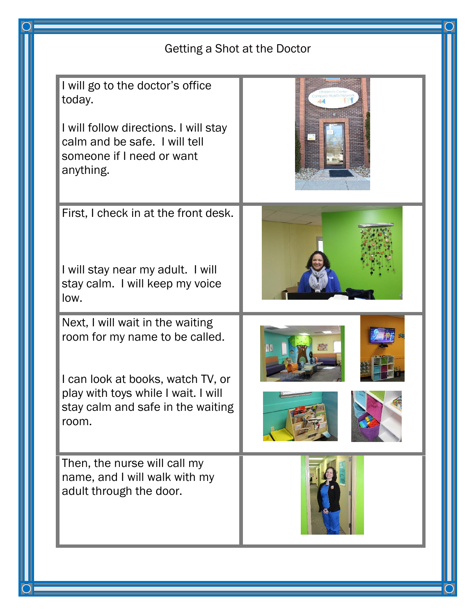| Getting a Shot at the Doctor                                                                                                                                                                 |  |
|----------------------------------------------------------------------------------------------------------------------------------------------------------------------------------------------|--|
| I will go to the doctor's office<br>today.<br>I will follow directions. I will stay<br>calm and be safe. I will tell<br>someone if I need or want<br>anything.                               |  |
| First, I check in at the front desk.<br>I will stay near my adult. I will<br>stay calm. I will keep my voice<br>low.                                                                         |  |
| Next, I will wait in the waiting<br>room for my name to be called.<br>I can look at books, watch TV, or<br>play with toys while I wait. I will<br>stay calm and safe in the waiting<br>room. |  |
| Then, the nurse will call my<br>name, and I will walk with my<br>adult through the door.                                                                                                     |  |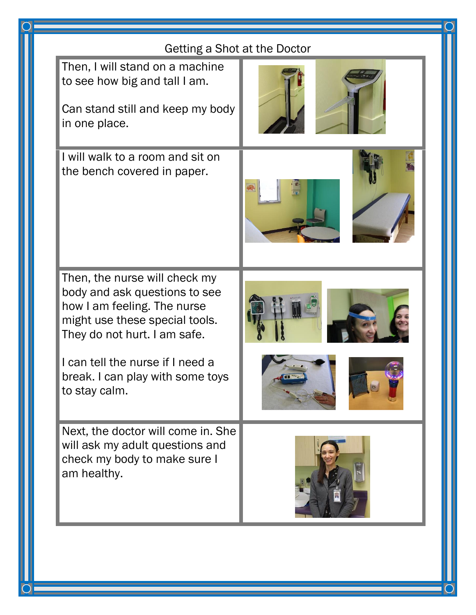